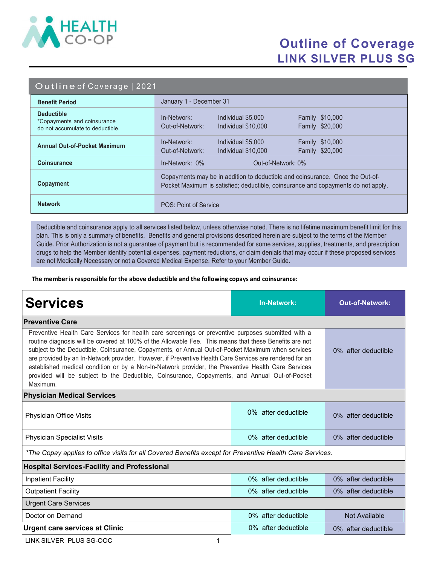

## Outline of Coverage LINK SILVER PLUS SG

|  | Outline of Coverage   2021 |  |
|--|----------------------------|--|
|  |                            |  |

| <b>Benefit Period</b>                                                                | January 1 - December 31                                                                                                                                            |  |  |
|--------------------------------------------------------------------------------------|--------------------------------------------------------------------------------------------------------------------------------------------------------------------|--|--|
| <b>Deductible</b><br>*Copayments and coinsurance<br>do not accumulate to deductible. | <b>Family \$10,000</b><br>In-Network:<br>Individual \$5,000<br>Family \$20,000<br>Out-of-Network:<br>Individual \$10,000                                           |  |  |
| <b>Annual Out-of-Pocket Maximum</b>                                                  | Family \$10,000<br>In-Network:<br>Individual \$5,000<br>Family \$20,000<br>Out-of-Network:<br>Individual \$10,000                                                  |  |  |
| <b>Coinsurance</b>                                                                   | In-Network: 0%<br>Out-of-Network: 0%                                                                                                                               |  |  |
| Copayment                                                                            | Copayments may be in addition to deductible and coinsurance. Once the Out-of-<br>Pocket Maximum is satisfied; deductible, coinsurance and copayments do not apply. |  |  |
| <b>Network</b>                                                                       | POS: Point of Service                                                                                                                                              |  |  |

Deductible and coinsurance apply to all services listed below, unless otherwise noted. There is no lifetime maximum benefit limit for this plan. This is only a summary of benefits. Benefits and general provisions described herein are subject to the terms of the Member Guide. Prior Authorization is not a guarantee of payment but is recommended for some services, supplies, treatments, and prescription drugs to help the Member identify potential expenses, payment reductions, or claim denials that may occur if these proposed services are not Medically Necessary or not a Covered Medical Expense. Refer to your Member Guide.

The member is responsible for the above deductible and the following copays and coinsurance:

| <b>Services</b>                                                                                                                                                                                                                                                                                                                                                                                                                                                                                                                                                                                                                                 | <b>In-Network:</b>     | <b>Out-of-Network:</b> |  |  |  |
|-------------------------------------------------------------------------------------------------------------------------------------------------------------------------------------------------------------------------------------------------------------------------------------------------------------------------------------------------------------------------------------------------------------------------------------------------------------------------------------------------------------------------------------------------------------------------------------------------------------------------------------------------|------------------------|------------------------|--|--|--|
| <b>Preventive Care</b>                                                                                                                                                                                                                                                                                                                                                                                                                                                                                                                                                                                                                          |                        |                        |  |  |  |
| Preventive Health Care Services for health care screenings or preventive purposes submitted with a<br>routine diagnosis will be covered at 100% of the Allowable Fee. This means that these Benefits are not<br>subject to the Deductible, Coinsurance, Copayments, or Annual Out-of-Pocket Maximum when services<br>are provided by an In-Network provider. However, if Preventive Health Care Services are rendered for an<br>established medical condition or by a Non-In-Network provider, the Preventive Health Care Services<br>provided will be subject to the Deductible, Coinsurance, Copayments, and Annual Out-of-Pocket<br>Maximum. | 0% after deductible    |                        |  |  |  |
| <b>Physician Medical Services</b>                                                                                                                                                                                                                                                                                                                                                                                                                                                                                                                                                                                                               |                        |                        |  |  |  |
| Physician Office Visits                                                                                                                                                                                                                                                                                                                                                                                                                                                                                                                                                                                                                         | $0\%$ after deductible | 0% after deductible    |  |  |  |
| <b>Physician Specialist Visits</b>                                                                                                                                                                                                                                                                                                                                                                                                                                                                                                                                                                                                              | 0% after deductible    | 0% after deductible    |  |  |  |
| *The Copay applies to office visits for all Covered Benefits except for Preventive Health Care Services.                                                                                                                                                                                                                                                                                                                                                                                                                                                                                                                                        |                        |                        |  |  |  |
| <b>Hospital Services-Facility and Professional</b>                                                                                                                                                                                                                                                                                                                                                                                                                                                                                                                                                                                              |                        |                        |  |  |  |
| <b>Inpatient Facility</b>                                                                                                                                                                                                                                                                                                                                                                                                                                                                                                                                                                                                                       | 0% after deductible    | 0% after deductible    |  |  |  |
| <b>Outpatient Facility</b>                                                                                                                                                                                                                                                                                                                                                                                                                                                                                                                                                                                                                      | 0% after deductible    | 0% after deductible    |  |  |  |
| <b>Urgent Care Services</b>                                                                                                                                                                                                                                                                                                                                                                                                                                                                                                                                                                                                                     |                        |                        |  |  |  |
| Doctor on Demand                                                                                                                                                                                                                                                                                                                                                                                                                                                                                                                                                                                                                                | 0% after deductible    | Not Available          |  |  |  |
| <b>Urgent care services at Clinic</b>                                                                                                                                                                                                                                                                                                                                                                                                                                                                                                                                                                                                           | 0% after deductible    | 0% after deductible    |  |  |  |

LINK SILVER PLUS SG-OOC 1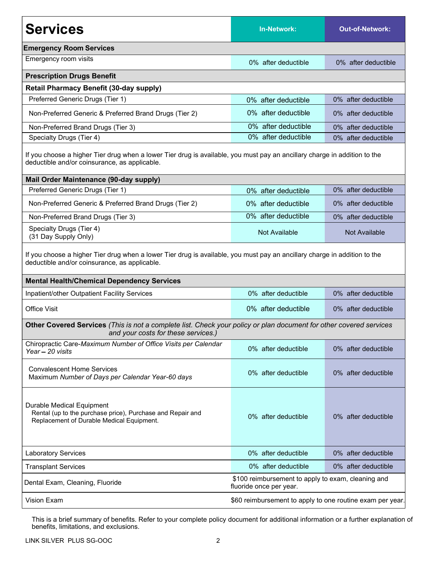| <b>Services</b>                                                                                                                                                                                                                 | In-Network:                                               | <b>Out-of-Network:</b> |  |  |  |
|---------------------------------------------------------------------------------------------------------------------------------------------------------------------------------------------------------------------------------|-----------------------------------------------------------|------------------------|--|--|--|
| <b>Emergency Room Services</b>                                                                                                                                                                                                  |                                                           |                        |  |  |  |
| Emergency room visits                                                                                                                                                                                                           | 0% after deductible                                       | 0% after deductible    |  |  |  |
| <b>Prescription Drugs Benefit</b>                                                                                                                                                                                               |                                                           |                        |  |  |  |
| <b>Retail Pharmacy Benefit (30-day supply)</b>                                                                                                                                                                                  |                                                           |                        |  |  |  |
| Preferred Generic Drugs (Tier 1)                                                                                                                                                                                                | 0% after deductible                                       | 0% after deductible    |  |  |  |
| Non-Preferred Generic & Preferred Brand Drugs (Tier 2)                                                                                                                                                                          | 0% after deductible                                       | 0% after deductible    |  |  |  |
| Non-Preferred Brand Drugs (Tier 3)                                                                                                                                                                                              | 0% after deductible                                       | 0% after deductible    |  |  |  |
| Specialty Drugs (Tier 4)                                                                                                                                                                                                        | 0% after deductible                                       | 0% after deductible    |  |  |  |
| If you choose a higher Tier drug when a lower Tier drug is available, you must pay an ancillary charge in addition to the<br>deductible and/or coinsurance, as applicable.                                                      |                                                           |                        |  |  |  |
| Mail Order Maintenance (90-day supply)                                                                                                                                                                                          |                                                           |                        |  |  |  |
| Preferred Generic Drugs (Tier 1)                                                                                                                                                                                                | 0% after deductible                                       | 0% after deductible    |  |  |  |
| Non-Preferred Generic & Preferred Brand Drugs (Tier 2)                                                                                                                                                                          | 0% after deductible                                       | 0% after deductible    |  |  |  |
| Non-Preferred Brand Drugs (Tier 3)                                                                                                                                                                                              | 0% after deductible                                       | 0% after deductible    |  |  |  |
| Specialty Drugs (Tier 4)<br>(31 Day Supply Only)                                                                                                                                                                                | <b>Not Available</b>                                      | <b>Not Available</b>   |  |  |  |
| If you choose a higher Tier drug when a lower Tier drug is available, you must pay an ancillary charge in addition to the<br>deductible and/or coinsurance, as applicable.<br><b>Mental Health/Chemical Dependency Services</b> |                                                           |                        |  |  |  |
| Inpatient/other Outpatient Facility Services                                                                                                                                                                                    | 0% after deductible                                       | 0% after deductible    |  |  |  |
| <b>Office Visit</b>                                                                                                                                                                                                             | 0% after deductible                                       | 0% after deductible    |  |  |  |
| Other Covered Services (This is not a complete list. Check your policy or plan document for other covered services<br>and your costs for these services.)                                                                       |                                                           |                        |  |  |  |
| Chiropractic Care-Maximum Number of Office Visits per Calendar<br>Year - 20 visits                                                                                                                                              | 0% after deductible                                       | 0% after deductible    |  |  |  |
| <b>Convalescent Home Services</b><br>Maximum Number of Days per Calendar Year-60 days                                                                                                                                           | 0% after deductible                                       | 0% after deductible    |  |  |  |
| Durable Medical Equipment<br>Rental (up to the purchase price), Purchase and Repair and<br>Replacement of Durable Medical Equipment.                                                                                            | 0% after deductible                                       | 0% after deductible    |  |  |  |
| <b>Laboratory Services</b>                                                                                                                                                                                                      | 0% after deductible                                       | 0% after deductible    |  |  |  |
| <b>Transplant Services</b>                                                                                                                                                                                                      | 0% after deductible                                       | 0% after deductible    |  |  |  |
| \$100 reimbursement to apply to exam, cleaning and<br>Dental Exam, Cleaning, Fluoride<br>fluoride once per year.                                                                                                                |                                                           |                        |  |  |  |
| Vision Exam                                                                                                                                                                                                                     | \$60 reimbursement to apply to one routine exam per year. |                        |  |  |  |

This is a brief summary of benefits. Refer to your complete policy document for additional information or a further explanation of benefits, limitations, and exclusions.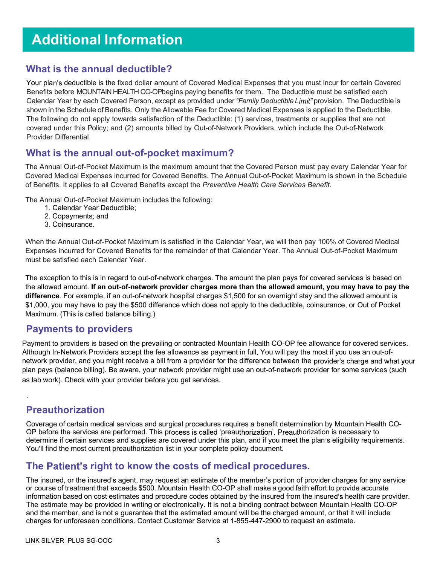# Additional Information

#### What is the annual deductible?

Your plan's deductible is the fixed dollar amount of Covered Medical Expenses that you must incur for certain Covered Benefits before MOUNTAIN HEALTH CO-OPbegins paying benefits for them. The Deductible must be satisfied each Calendar Year by each Covered Person, except as provided under "Family Deductible Limit" provision. The Deductible is shown in the Schedule of Benefits. Only the Allowable Fee for Covered Medical Expenses is applied to the Deductible. The following do not apply towards satisfaction of the Deductible: (1) services, treatments or supplies that are not covered under this Policy; and (2) amounts billed by Out-of-Network Providers, which include the Out-of-Network Provider Differential.

#### What is the annual out-of-pocket maximum?

The Annual Out-of-Pocket Maximum is the maximum amount that the Covered Person must pay every Calendar Year for Covered Medical Expenses incurred for Covered Benefits. The Annual Out-of-Pocket Maximum is shown in the Schedule of Benefits. It applies to all Covered Benefits except the Preventive Health Care Services Benefit.

The Annual Out-of-Pocket Maximum includes the following:

- 1. Calendar Year Deductible;
- 2. Copayments; and
- 3. Coinsurance.

When the Annual Out-of-Pocket Maximum is satisfied in the Calendar Year, we will then pay 100% of Covered Medical Expenses incurred for Covered Benefits for the remainder of that Calendar Year. The Annual Out-of-Pocket Maximum must be satisfied each Calendar Year.

The exception to this is in regard to out-of-network charges. The amount the plan pays for covered services is based on the allowed amount. If an out-of-network provider charges more than the allowed amount, you may have to pay the difference. For example, if an out-of-network hospital charges \$1,500 for an overnight stay and the allowed amount is \$1,000, you may have to pay the \$500 difference which does not apply to the deductible, coinsurance, or Out of Pocket Maximum. (This is called balance billing.)

#### Payments to providers

Payment to providers is based on the prevailing or contracted Mountain Health CO-OP fee allowance for covered services. Although In-Network Providers accept the fee allowance as payment in full, You will pay the most if you use an out-ofnetwork provider, and you might receive a bill from a provider for the difference between the provider's charge and what your plan pays (balance billing). Be aware, your network provider might use an out-of-network provider for some services (such as lab work). Check with your provider before you get services.

### Preauthorization

.

Coverage of certain medical services and surgical procedures requires a benefit determination by Mountain Health CO-OP before the services are performed. This process is called 'preauthorization'. Preauthorization is necessary to determine if certain services and supplies are covered under this plan, and if you meet the plan's eligibility requirements. You'll find the most current preauthorization list in your complete policy document.

### The Patient's right to know the costs of medical procedures.

The insured, or the insured's agent, may request an estimate of the member's portion of provider charges for any service or course of treatment that exceeds \$500. Mountain Health CO-OP shall make a good faith effort to provide accurate information based on cost estimates and procedure codes obtained by the insured from the insured's health care provider. The estimate may be provided in writing or electronically. It is not a binding contract between Mountain Health CO-OP and the member, and is not a guarantee that the estimated amount will be the charged amount, or that it will include charges for unforeseen conditions. Contact Customer Service at 1-855-447-2900 to request an estimate.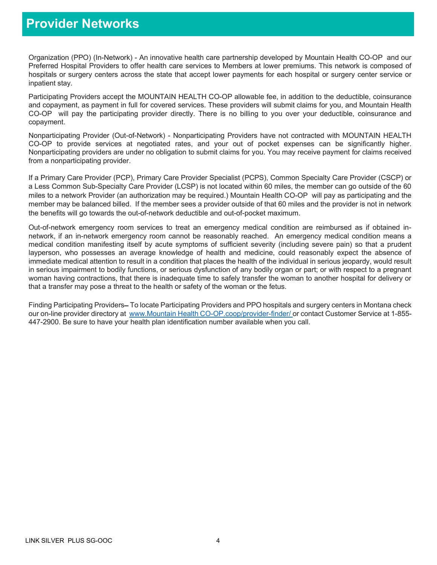### Provider Networks

Organization (PPO) (In-Network) - An innovative health care partnership developed by Mountain Health CO-OP and our Preferred Hospital Providers to offer health care services to Members at lower premiums. This network is composed of hospitals or surgery centers across the state that accept lower payments for each hospital or surgery center service or inpatient stay.

Participating Providers accept the MOUNTAIN HEALTH CO-OP allowable fee, in addition to the deductible, coinsurance and copayment, as payment in full for covered services. These providers will submit claims for you, and Mountain Health CO-OP will pay the participating provider directly. There is no billing to you over your deductible, coinsurance and copayment.

Nonparticipating Provider (Out-of-Network) - Nonparticipating Providers have not contracted with MOUNTAIN HEALTH CO-OP to provide services at negotiated rates, and your out of pocket expenses can be significantly higher. Nonparticipating providers are under no obligation to submit claims for you. You may receive payment for claims received from a nonparticipating provider.

If a Primary Care Provider (PCP), Primary Care Provider Specialist (PCPS), Common Specialty Care Provider (CSCP) or a Less Common Sub-Specialty Care Provider (LCSP) is not located within 60 miles, the member can go outside of the 60 miles to a network Provider (an authorization may be required.) Mountain Health CO-OP will pay as participating and the member may be balanced billed. If the member sees a provider outside of that 60 miles and the provider is not in network the benefits will go towards the out-of-network deductible and out-of-pocket maximum.

Out-of-network emergency room services to treat an emergency medical condition are reimbursed as if obtained innetwork, if an in-network emergency room cannot be reasonably reached. An emergency medical condition means a medical condition manifesting itself by acute symptoms of sufficient severity (including severe pain) so that a prudent layperson, who possesses an average knowledge of health and medicine, could reasonably expect the absence of immediate medical attention to result in a condition that places the health of the individual in serious jeopardy, would result in serious impairment to bodily functions, or serious dysfunction of any bodily organ or part; or with respect to a pregnant woman having contractions, that there is inadequate time to safely transfer the woman to another hospital for delivery or that a transfer may pose a threat to the health or safety of the woman or the fetus.

Finding Participating Providers–To locate Participating Providers and PPO hospitals and surgery centers in Montana check our on-line provider directory at www.Mountain Health CO-OP.coop/provider-finder/ or contact Customer Service at 1-855-447-2900. Be sure to have your health plan identification number available when you call.